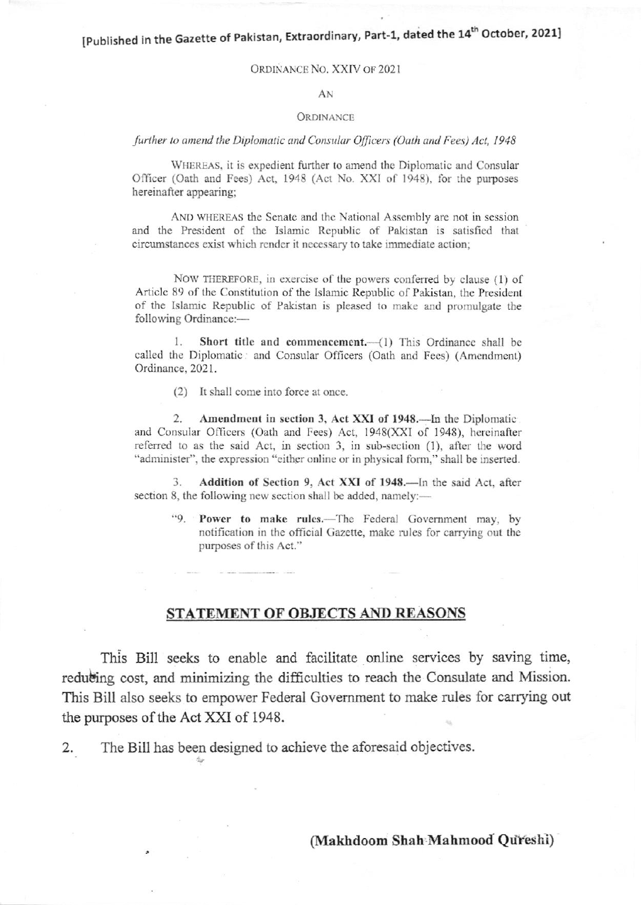[Published in the Gazette of Pakistan, Extraordinary, Part-1, dated the 14<sup>th</sup> October, 2021]

## ORDINANCE NO. XXIV OF 2021

## $AN$

## **ORDINANCE**

further to amend the Diplomatic and Consular Officers (Oath and Fees) Act, 1948

WHEREAS, it is expedient further to amend the Diplomatic and Consular Officer (Oath and Fees) Act, 1948 (Act No. XXI of 1948), for the purposes hereinafter appearing;

AND WHEREAS the Senate and the National Assembly are not in session and the President of the Islamic Republic of Pakistan is satisfied that circumstances exist which render it necessary to take immediate action;

NOW THEREFORE, in exercise of the powers conferred by clause (1) of Article 89 of the Constitution of the Islamic Republic of Pakistan, the President of the Islamic Republic of Pakistan is pleased to make and promulgate the following Ordinance:-

Short title and commencement.- (1) This Ordinance shall be called the Diplomatic: and Consular Officers (Oath and Fees) (Amendment) Ordinance, 2021.

(2) It shall come into force at once.

Amendment in section 3, Act XXI of 1948. In the Diplomatic 2. and Consular Officers (Oath and Fees) Act, 1948(XXI of 1948), hereinafter referred to as the said Act, in section 3, in sub-section (1), after the word "administer", the expression "either online or in physical form," shall be inserted.

Addition of Section 9, Act XXI of 1948.—In the said Act, after 3. section 8, the following new section shall be added, namely:-

"9. Power to make rules.—The Federal Government may, by notification in the official Gazette, make rules for carrying out the purposes of this Act."

## STATEMENT OF OBJECTS AND REASONS

This Bill seeks to enable and facilitate online services by saving time, reducting cost, and minimizing the difficulties to reach the Consulate and Mission. This Bill also seeks to empower Federal Government to make rules for carrying out the purposes of the Act XXI of 1948.

The Bill has been designed to achieve the aforesaid objectives. 2.

(Makhdoom Shah Mahmood Qureshi)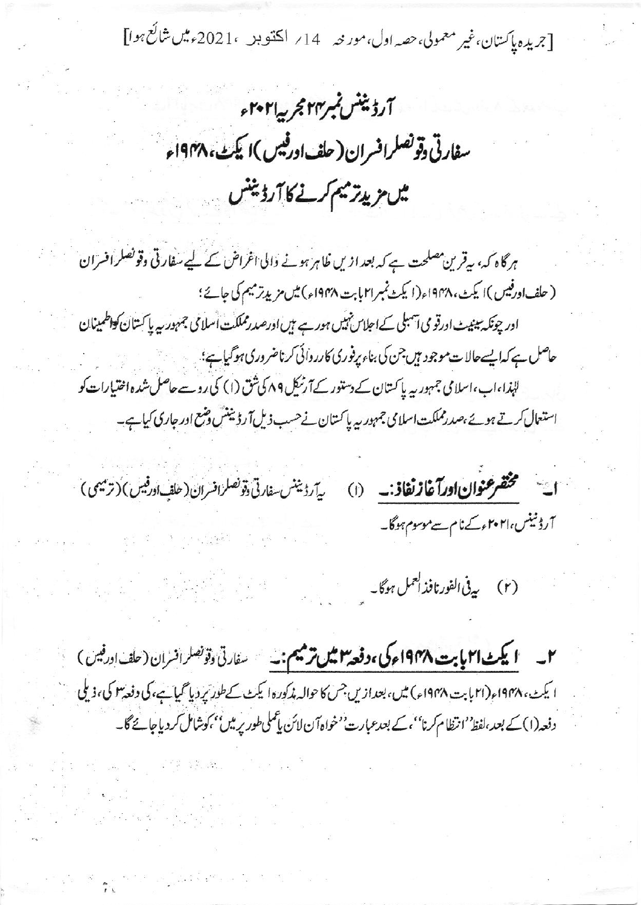[جریدہ پاکستان،غیر معمولی،حصہ اول،مور نیہ 14؍ اکتنو بد ،2021ءمیں شائع ہوا]

آرڈینٹس نمبر۲۴ مجربیہ ۲۰۲۱ء سفارتی دقونصلرافسران ( حلف ادرفیس )ا یکٹ، ۱۹۴۸ء مىس مزيدتر ميتم كرنے كا آرڈينس

ہرگاہ کہ، بیقرین مصلحت ہے کہ بعد ازیں ظاہر ہونے والی اغراض کے لیے سفارتی وقونصلر افسران ( حلف اورفیس )ا یکٹ،۱۹۴۸ء(ا یکٹ نمبر۳۱ بابت ۱۹۴۸ء) میں مزید ترمیم کی جائے؛ ادر چونکہ سینیٹ اورقو می آسبلی کے اجلاس نہیں ہور ہے ہیں اورصدرمملکت اسلامی جمہور ہہ پاکستان کواطمینان حاصل ہے کہ ایسےحالات موجود ہیں جن کی بناء پرفوری کارروائی کرناضر وری ہو گیاہے؛ لہٰذا،اب،اسلامی جمہوریہ پاکستان کے دستور کےآرنیکل ۸۹ کی ثق (۱) کی روسے حاصل شدہ اختیارات کو استعال کرتے ہوئے،صدرمملکت اسلامی جمہوریہ پاکستان نے حسب ذیل آرڈیننس وضع اور جاری کیا ہے۔

ية روينس فارتى وتونصلر افسران (حلف اورفيس) (ترميمى) ات مخضر عنوان اورآغاز نفاذ: (١) <sub>آرڈ</sub> نینس،۲۰۲۱ء کےنام سےموسوم ہوگا۔

e André Com

(۲) يەنى الفورنافذ العمل ہوگا۔<br>-

۲۔ ایکٹ ا۲ بابت ۱۹۴۸ء کی ،وقعہ ۲ میں ترمیم:۔ سفارتی وتونصلر افسران (حلف اورفیس) ا يکٹ، ۱۹۴۸ء (۲۱ بابت ۱۹۴۸ء) میں، بعدازیں جس کا حوالہ مذکورہ ایکٹ کے طور پر دیا گیا ہے، کی دفعہ ۳ کی، ذیلی دفعہ(۱) کے بعد،لفظ ُ'انتظام کرنا''، کے بعدعبارت' خواہ آن لائن یا عملی طور پر میں''،کوشامل کر دیاجائے گا۔